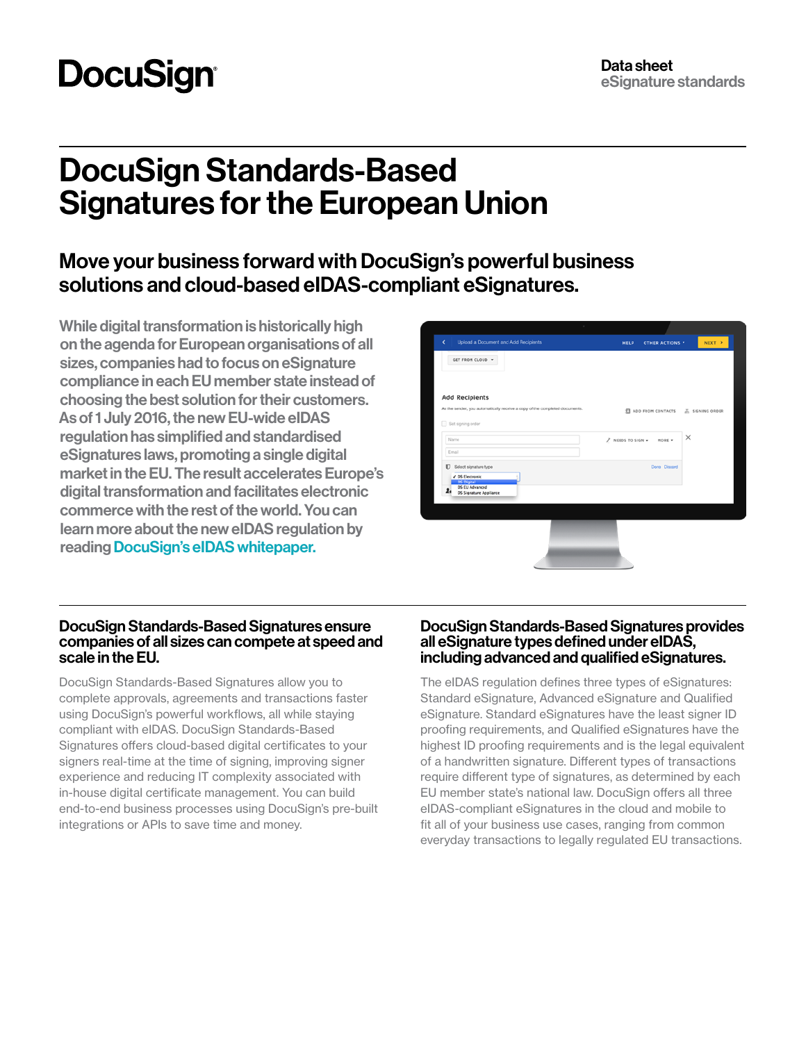# **DocuSign**

## DocuSign Standards-Based Signatures for the European Union

## Move your business forward with DocuSign's powerful business solutions and cloud-based eIDAS-compliant eSignatures.

While digital transformation is historically high on the agenda for European organisations of all sizes, companies had to focus on eSignature compliance in each EU member state instead of choosing the best solution for their customers. As of 1 July 2016, the new EU-wide eIDAS regulation has simplified and standardised eSignatures laws, promoting a single digital market in the EU. The result accelerates Europe's digital transformation and facilitates electronic commerce with the rest of the world. You can learn more about the new eIDAS regulation by reading [DocuSign's eIDAS whitepaper.](https://get.docusign.com/LP=1045)

| Upload a Document and Add Recipients<br>GET FROM CLOUD -                                         | <b>HELP</b>                 | NEXT ><br>OTHER ACTIONS * |
|--------------------------------------------------------------------------------------------------|-----------------------------|---------------------------|
|                                                                                                  |                             |                           |
| <b>Add Recipients</b>                                                                            |                             |                           |
| As the sender, you automatically receive a copy of the completed documents.<br>Set signing order | <b>EL ADO FROM CONTACTS</b> | A SIGNING ORDER           |
| Name                                                                                             | A NEEDS TO SIGN -<br>MORE - | $\times$                  |
| Email                                                                                            |                             |                           |
| <b>D</b> Select signature type<br>√ DS Electronic                                                | Done Discard                |                           |
| DS Digital<br>DS EU Advanced                                                                     |                             |                           |
| $\mathbf{z}_i$<br><b>DS Signature Appliance</b>                                                  |                             |                           |
|                                                                                                  |                             |                           |
|                                                                                                  |                             |                           |

#### DocuSign Standards-Based Signatures ensure companies of all sizes can compete at speed and scale in the EU.

DocuSign Standards-Based Signatures allow you to complete approvals, agreements and transactions faster using DocuSign's powerful workflows, all while staying compliant with eIDAS. DocuSign Standards-Based Signatures offers cloud-based digital certificates to your signers real-time at the time of signing, improving signer experience and reducing IT complexity associated with in-house digital certificate management. You can build end-to-end business processes using DocuSign's pre-built integrations or APIs to save time and money.

#### DocuSign Standards-Based Signatures provides all eSignature types defined under eIDAS, including advanced and qualified eSignatures.

The eIDAS regulation defines three types of eSignatures: Standard eSignature, Advanced eSignature and Qualified eSignature. Standard eSignatures have the least signer ID proofing requirements, and Qualified eSignatures have the highest ID proofing requirements and is the legal equivalent of a handwritten signature. Different types of transactions require different type of signatures, as determined by each EU member state's national law. DocuSign offers all three eIDAS-compliant eSignatures in the cloud and mobile to fit all of your business use cases, ranging from common everyday transactions to legally regulated EU transactions.